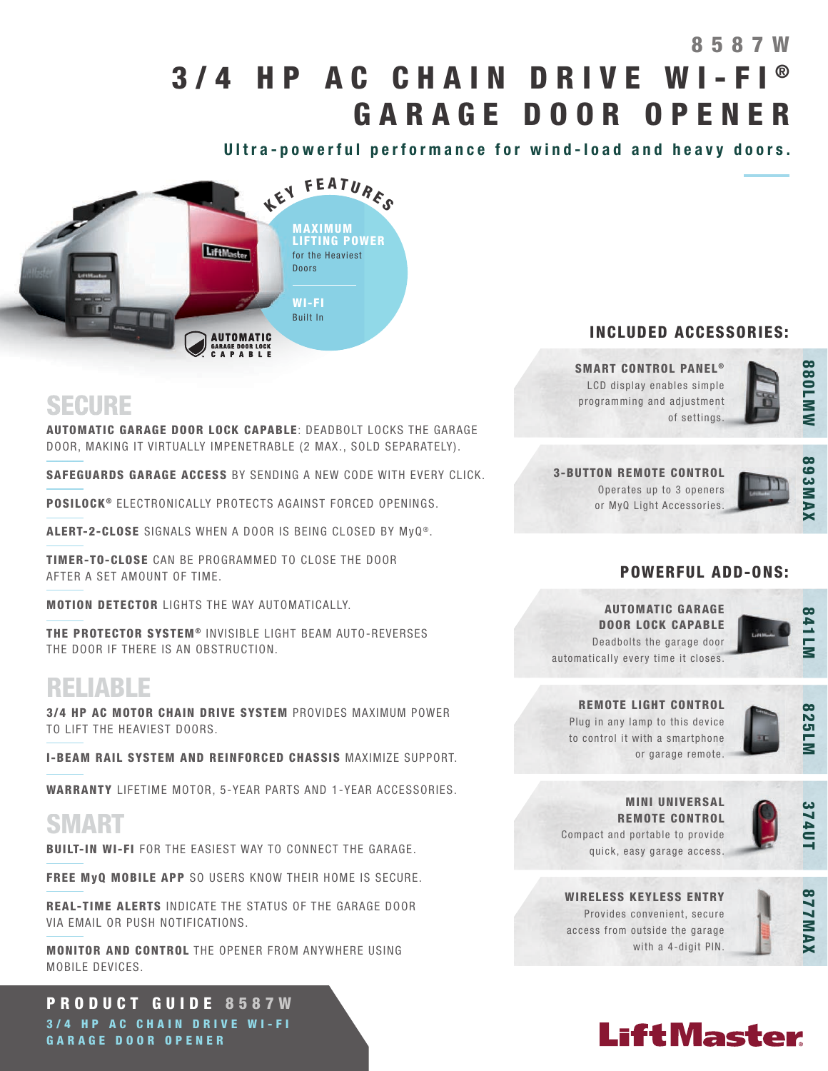# 3/4 HP AC CHAIN DRIVE WI-FI GARAGE DOOR OPENER 8 5 8 7 W

Ultra-powerful performance for wind-load and heavy doors.



## INCLUDED ACCESSORIES:

SMART CONTROL PANEL<sup>®</sup> LCD display enables simple programming and adjustment of settings.



## SECURE

AUTOMATIC GARAGE DOOR LOCK CAPABLE: DEADBOLT LOCKS THE GARAGE DOOR, MAKING IT VIRTUALLY IMPENETRABLE (2 MAX., SOLD SEPARATELY).

SAFEGUARDS GARAGE ACCESS BY SENDING A NEW CODE WITH EVERY CLICK.

POSILOCK<sup>®</sup> ELECTRONICALLY PROTECTS AGAINST FORCED OPENINGS.

ALERT-2-CLOSE SIGNALS WHEN A DOOR IS BEING CLOSED BY MyQ®.

TIMER-TO-CLOSE CAN BE PROGRAMMED TO CLOSE THE DOOR AFTER A SET AMOUNT OF TIME.

MOTION DETECTOR LIGHTS THE WAY AUTOMATICALLY.

THE PROTECTOR SYSTEM® INVISIBLE LIGHT BEAM AUTO-REVERSES THE DOOR IF THERE IS AN OBSTRUCTION.

## RELIABLE

3/4 HP AC MOTOR CHAIN DRIVE SYSTEM PROVIDES MAXIMUM POWER TO LIFT THE HEAVIEST DOORS.

I-BEAM RAIL SYSTEM AND REINFORCED CHASSIS MAXIMIZE SUPPORT.

WARRANTY LIFETIME MOTOR, 5-YEAR PARTS AND 1-YEAR ACCESSORIES.

## SMART

BUILT-IN WI-FI FOR THE EASIEST WAY TO CONNECT THE GARAGE.

FREE MyQ MOBILE APP SO USERS KNOW THEIR HOME IS SECURE.

REAL-TIME ALERTS INDICATE THE STATUS OF THE GARAGE DOOR VIA EMAIL OR PUSH NOTIFICATIONS.

MONITOR AND CONTROL THE OPENER FROM ANYWHERE USING MOBILE DEVICES.

PRODUCT GUIDE 8587W 3/4 HP AC CHAIN DRIVE WI-FI GARAGE DOOR OPENER

3-BUTTON REMOTE CONTROL Operates up to 3 openers or MyQ Light Accessories.



## POWERFUL ADD-ONS:

AUTOMATIC GARAGE DOOR LOCK CAPABLE Deadbolts the garage door automatically every time it closes.



825LM

REMOTE LIGHT CONTROL Plug in any lamp to this device to control it with a smartphone or garage remote.



MINI UNIVERSAL REMOTE CONTROL Compact and portable to provide quick, easy garage access.



WIRELESS KEYLESS ENTRY Provides convenient, secure access from outside the garage with a 4-digit PIN.



# **LiftMaster**